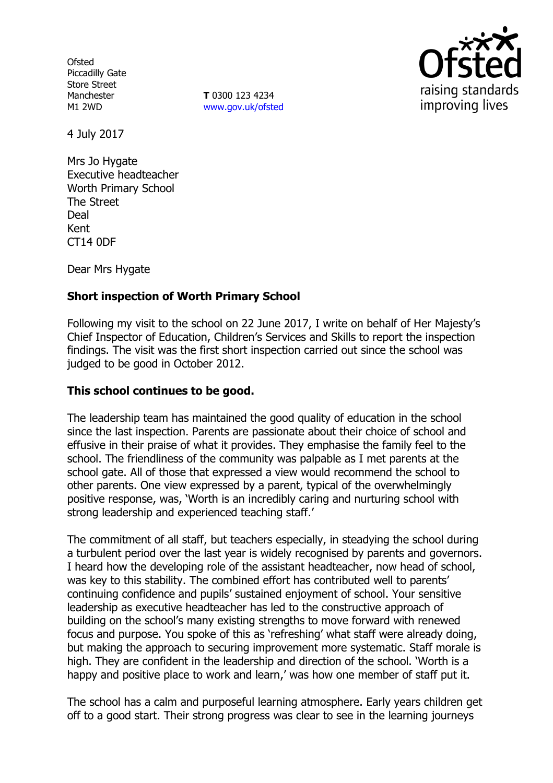**Ofsted** Piccadilly Gate Store Street Manchester M1 2WD

**T** 0300 123 4234 www.gov.uk/ofsted



4 July 2017

Mrs Jo Hygate Executive headteacher Worth Primary School The Street Deal Kent CT14 0DF

Dear Mrs Hygate

# **Short inspection of Worth Primary School**

Following my visit to the school on 22 June 2017, I write on behalf of Her Majesty's Chief Inspector of Education, Children's Services and Skills to report the inspection findings. The visit was the first short inspection carried out since the school was judged to be good in October 2012.

### **This school continues to be good.**

The leadership team has maintained the good quality of education in the school since the last inspection. Parents are passionate about their choice of school and effusive in their praise of what it provides. They emphasise the family feel to the school. The friendliness of the community was palpable as I met parents at the school gate. All of those that expressed a view would recommend the school to other parents. One view expressed by a parent, typical of the overwhelmingly positive response, was, 'Worth is an incredibly caring and nurturing school with strong leadership and experienced teaching staff.'

The commitment of all staff, but teachers especially, in steadying the school during a turbulent period over the last year is widely recognised by parents and governors. I heard how the developing role of the assistant headteacher, now head of school, was key to this stability. The combined effort has contributed well to parents' continuing confidence and pupils' sustained enjoyment of school. Your sensitive leadership as executive headteacher has led to the constructive approach of building on the school's many existing strengths to move forward with renewed focus and purpose. You spoke of this as 'refreshing' what staff were already doing, but making the approach to securing improvement more systematic. Staff morale is high. They are confident in the leadership and direction of the school. 'Worth is a happy and positive place to work and learn,' was how one member of staff put it.

The school has a calm and purposeful learning atmosphere. Early years children get off to a good start. Their strong progress was clear to see in the learning journeys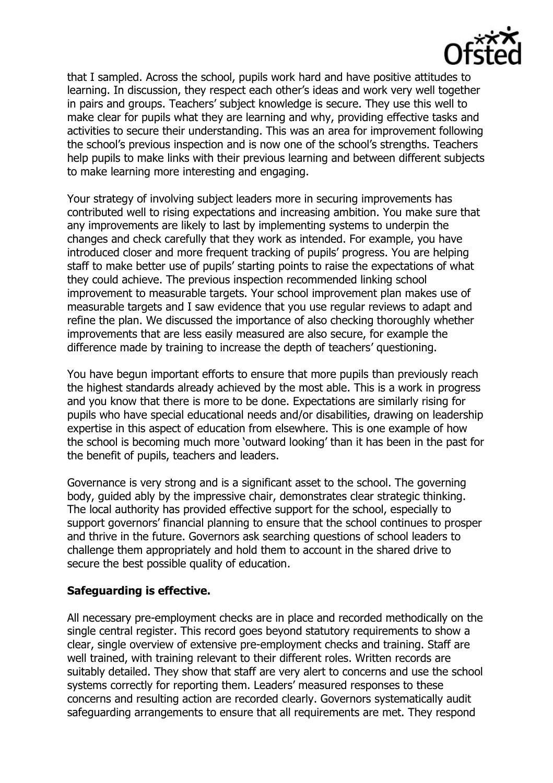

that I sampled. Across the school, pupils work hard and have positive attitudes to learning. In discussion, they respect each other's ideas and work very well together in pairs and groups. Teachers' subject knowledge is secure. They use this well to make clear for pupils what they are learning and why, providing effective tasks and activities to secure their understanding. This was an area for improvement following the school's previous inspection and is now one of the school's strengths. Teachers help pupils to make links with their previous learning and between different subjects to make learning more interesting and engaging.

Your strategy of involving subject leaders more in securing improvements has contributed well to rising expectations and increasing ambition. You make sure that any improvements are likely to last by implementing systems to underpin the changes and check carefully that they work as intended. For example, you have introduced closer and more frequent tracking of pupils' progress. You are helping staff to make better use of pupils' starting points to raise the expectations of what they could achieve. The previous inspection recommended linking school improvement to measurable targets. Your school improvement plan makes use of measurable targets and I saw evidence that you use regular reviews to adapt and refine the plan. We discussed the importance of also checking thoroughly whether improvements that are less easily measured are also secure, for example the difference made by training to increase the depth of teachers' questioning.

You have begun important efforts to ensure that more pupils than previously reach the highest standards already achieved by the most able. This is a work in progress and you know that there is more to be done. Expectations are similarly rising for pupils who have special educational needs and/or disabilities, drawing on leadership expertise in this aspect of education from elsewhere. This is one example of how the school is becoming much more 'outward looking' than it has been in the past for the benefit of pupils, teachers and leaders.

Governance is very strong and is a significant asset to the school. The governing body, guided ably by the impressive chair, demonstrates clear strategic thinking. The local authority has provided effective support for the school, especially to support governors' financial planning to ensure that the school continues to prosper and thrive in the future. Governors ask searching questions of school leaders to challenge them appropriately and hold them to account in the shared drive to secure the best possible quality of education.

### **Safeguarding is effective.**

All necessary pre-employment checks are in place and recorded methodically on the single central register. This record goes beyond statutory requirements to show a clear, single overview of extensive pre-employment checks and training. Staff are well trained, with training relevant to their different roles. Written records are suitably detailed. They show that staff are very alert to concerns and use the school systems correctly for reporting them. Leaders' measured responses to these concerns and resulting action are recorded clearly. Governors systematically audit safeguarding arrangements to ensure that all requirements are met. They respond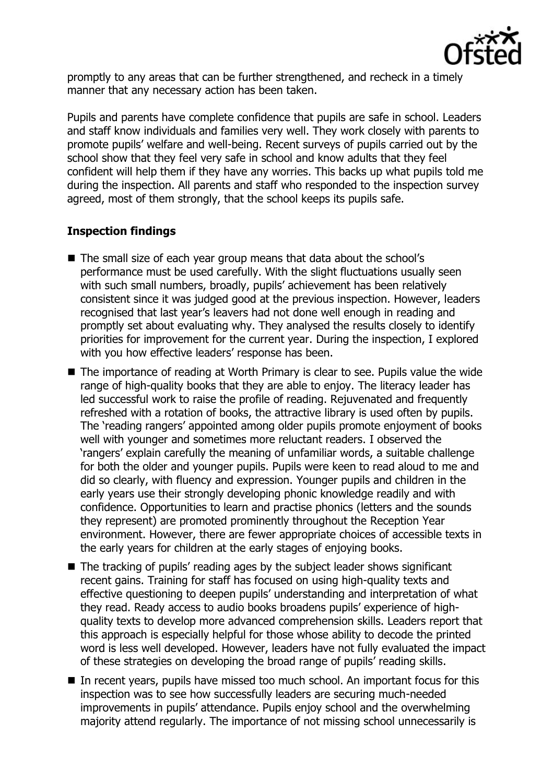

promptly to any areas that can be further strengthened, and recheck in a timely manner that any necessary action has been taken.

Pupils and parents have complete confidence that pupils are safe in school. Leaders and staff know individuals and families very well. They work closely with parents to promote pupils' welfare and well-being. Recent surveys of pupils carried out by the school show that they feel very safe in school and know adults that they feel confident will help them if they have any worries. This backs up what pupils told me during the inspection. All parents and staff who responded to the inspection survey agreed, most of them strongly, that the school keeps its pupils safe.

# **Inspection findings**

- The small size of each year group means that data about the school's performance must be used carefully. With the slight fluctuations usually seen with such small numbers, broadly, pupils' achievement has been relatively consistent since it was judged good at the previous inspection. However, leaders recognised that last year's leavers had not done well enough in reading and promptly set about evaluating why. They analysed the results closely to identify priorities for improvement for the current year. During the inspection, I explored with you how effective leaders' response has been.
- The importance of reading at Worth Primary is clear to see. Pupils value the wide range of high-quality books that they are able to enjoy. The literacy leader has led successful work to raise the profile of reading. Rejuvenated and frequently refreshed with a rotation of books, the attractive library is used often by pupils. The 'reading rangers' appointed among older pupils promote enjoyment of books well with younger and sometimes more reluctant readers. I observed the 'rangers' explain carefully the meaning of unfamiliar words, a suitable challenge for both the older and younger pupils. Pupils were keen to read aloud to me and did so clearly, with fluency and expression. Younger pupils and children in the early years use their strongly developing phonic knowledge readily and with confidence. Opportunities to learn and practise phonics (letters and the sounds they represent) are promoted prominently throughout the Reception Year environment. However, there are fewer appropriate choices of accessible texts in the early years for children at the early stages of enjoying books.
- The tracking of pupils' reading ages by the subject leader shows significant recent gains. Training for staff has focused on using high-quality texts and effective questioning to deepen pupils' understanding and interpretation of what they read. Ready access to audio books broadens pupils' experience of highquality texts to develop more advanced comprehension skills. Leaders report that this approach is especially helpful for those whose ability to decode the printed word is less well developed. However, leaders have not fully evaluated the impact of these strategies on developing the broad range of pupils' reading skills.
- $\blacksquare$  In recent vears, pupils have missed too much school. An important focus for this inspection was to see how successfully leaders are securing much-needed improvements in pupils' attendance. Pupils enjoy school and the overwhelming majority attend regularly. The importance of not missing school unnecessarily is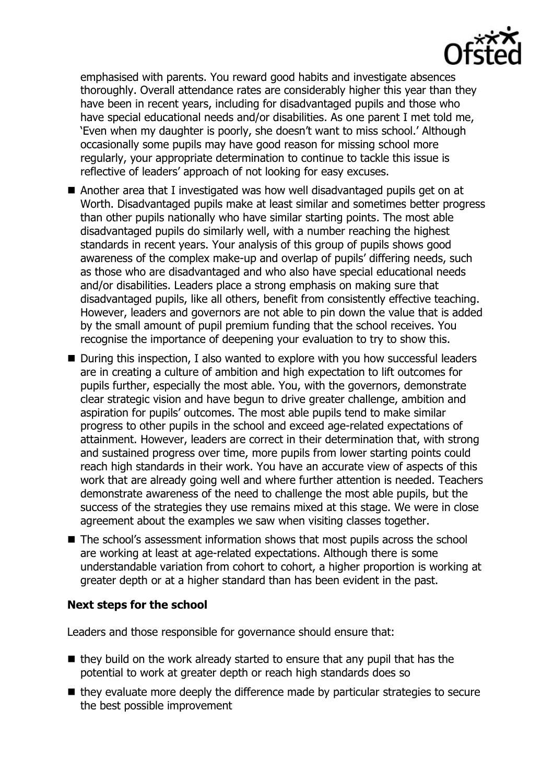emphasised with parents. You reward good habits and investigate absences thoroughly. Overall attendance rates are considerably higher this year than they have been in recent years, including for disadvantaged pupils and those who have special educational needs and/or disabilities. As one parent I met told me, 'Even when my daughter is poorly, she doesn't want to miss school.' Although occasionally some pupils may have good reason for missing school more regularly, your appropriate determination to continue to tackle this issue is reflective of leaders' approach of not looking for easy excuses.

- Another area that I investigated was how well disadvantaged pupils get on at Worth. Disadvantaged pupils make at least similar and sometimes better progress than other pupils nationally who have similar starting points. The most able disadvantaged pupils do similarly well, with a number reaching the highest standards in recent years. Your analysis of this group of pupils shows good awareness of the complex make-up and overlap of pupils' differing needs, such as those who are disadvantaged and who also have special educational needs and/or disabilities. Leaders place a strong emphasis on making sure that disadvantaged pupils, like all others, benefit from consistently effective teaching. However, leaders and governors are not able to pin down the value that is added by the small amount of pupil premium funding that the school receives. You recognise the importance of deepening your evaluation to try to show this.
- During this inspection, I also wanted to explore with you how successful leaders are in creating a culture of ambition and high expectation to lift outcomes for pupils further, especially the most able. You, with the governors, demonstrate clear strategic vision and have begun to drive greater challenge, ambition and aspiration for pupils' outcomes. The most able pupils tend to make similar progress to other pupils in the school and exceed age-related expectations of attainment. However, leaders are correct in their determination that, with strong and sustained progress over time, more pupils from lower starting points could reach high standards in their work. You have an accurate view of aspects of this work that are already going well and where further attention is needed. Teachers demonstrate awareness of the need to challenge the most able pupils, but the success of the strategies they use remains mixed at this stage. We were in close agreement about the examples we saw when visiting classes together.
- The school's assessment information shows that most pupils across the school are working at least at age-related expectations. Although there is some understandable variation from cohort to cohort, a higher proportion is working at greater depth or at a higher standard than has been evident in the past.

# **Next steps for the school**

Leaders and those responsible for governance should ensure that:

- $\blacksquare$  they build on the work already started to ensure that any pupil that has the potential to work at greater depth or reach high standards does so
- $\blacksquare$  they evaluate more deeply the difference made by particular strategies to secure the best possible improvement